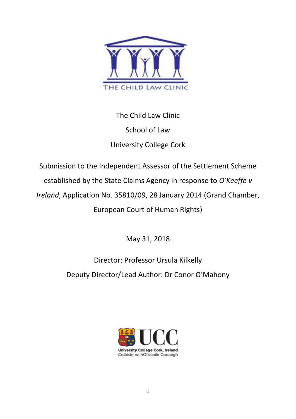

The Child Law Clinic School of Law University College Cork

Submission to the Independent Assessor of the Settlement Scheme established by the State Claims Agency in response to *O'Keeffe v Ireland*, Application No. 35810/09, 28 January 2014 (Grand Chamber, European Court of Human Rights)

May 31, 2018

Director: Professor Ursula Kilkelly Deputy Director/Lead Author: Dr Conor O'Mahony

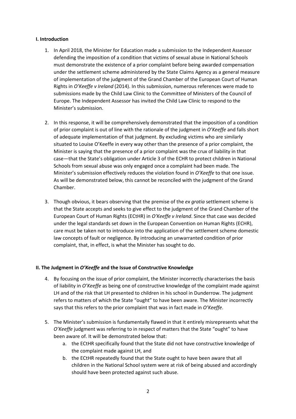## **I. Introduction**

- 1. In April 2018, the Minister for Education made a submission to the Independent Assessor defending the imposition of a condition that victims of sexual abuse in National Schools must demonstrate the existence of a prior complaint before being awarded compensation under the settlement scheme administered by the State Claims Agency as a general measure of implementation of the judgment of the Grand Chamber of the European Court of Human Rights in *O'Keeffe v Ireland* (2014). In this submission, numerous references were made to submissions made by the Child Law Clinic to the Committee of Ministers of the Council of Europe. The Independent Assessor has invited the Child Law Clinic to respond to the Minister's submission.
- 2. In this response, it will be comprehensively demonstrated that the imposition of a condition of prior complaint is out of line with the rationale of the judgment in *O'Keeffe* and falls short of adequate implementation of that judgment. By excluding victims who are similarly situated to Louise O'Keeffe in every way other than the presence of a prior complaint, the Minister is saying that the presence of a prior complaint was the crux of liability in that case—that the State's obligation under Article 3 of the ECHR to protect children in National Schools from sexual abuse was only engaged once a complaint had been made. The Minister's submission effectively reduces the violation found in *O'Keeffe* to that one issue. As will be demonstrated below, this cannot be reconciled with the judgment of the Grand Chamber.
- 3. Though obvious, it bears observing that the premise of the *ex gratia* settlement scheme is that the State accepts and seeks to give effect to the judgment of the Grand Chamber of the European Court of Human Rights (ECtHR) in *O'Keeffe v Ireland*. Since that case was decided under the legal standards set down in the European Convention on Human Rights (ECHR), care must be taken not to introduce into the application of the settlement scheme domestic law concepts of fault or negligence. By introducing an unwarranted condition of prior complaint, that, in effect, is what the Minister has sought to do.

# **II. The Judgment in** *O'Keeffe* **and the Issue of Constructive Knowledge**

- 4. By focusing on the issue of prior complaint, the Minister incorrectly characterises the basis of liability in *O'Keeffe* as being one of constructive knowledge of the complaint made against LH and of the risk that LH presented to children in his school in Dunderrow. The judgment refers to matters of which the State "ought" to have been aware. The Minister incorrectly says that this refers to the prior complaint that was in fact made in *O'Keeffe*.
- 5. The Minister's submission is fundamentally flawed in that it entirely misrepresents what the *O'Keeffe* judgment was referring to in respect of matters that the State "ought" to have been aware of. It will be demonstrated below that:
	- a. the ECtHR specifically found that the State did not have constructive knowledge of the complaint made against LH, and
	- b. the ECtHR repeatedly found that the State ought to have been aware that all children in the National School system were at risk of being abused and accordingly should have been protected against such abuse.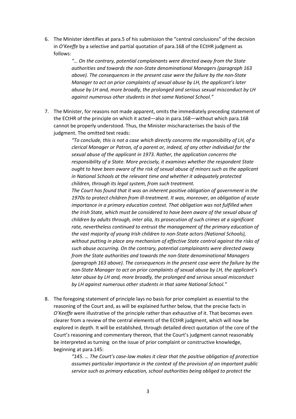6. The Minister identifies at para.5 of his submission the "central conclusions" of the decision in *O'Keeffe* by a selective and partial quotation of para.168 of the ECtHR judgment as follows:

> *"… On the contrary, potential complainants were directed away from the State authorities and towards the non-State denominational Managers (paragraph 163 above). The consequences in the present case were the failure by the non-State Manager to act on prior complaints of sexual abuse by LH, the applicant's later abuse by LH and, more broadly, the prolonged and serious sexual misconduct by LH against numerous other students in that same National School."*

7. The Minister, for reasons not made apparent, omits the immediately preceding statement of the ECtHR of the principle on which it acted—also in para.168—without which para.168 cannot be properly understood. Thus, the Minister mischaracterises the basis of the judgment. The omitted text reads:

> *"To conclude, this is not a case which directly concerns the responsibility of LH, of a clerical Manager or Patron, of a parent or, indeed, of any other individual for the sexual abuse of the applicant in 1973. Rather, the application concerns the responsibility of a State. More precisely, it examines whether the respondent State ought to have been aware of the risk of sexual abuse of minors such as the applicant in National Schools at the relevant time and whether it adequately protected children, through its legal system, from such treatment.*

> *The Court has found that it was an inherent positive obligation of government in the 1970s to protect children from ill-treatment. It was, moreover, an obligation of acute importance in a primary education context. That obligation was not fulfilled when the Irish State, which must be considered to have been aware of the sexual abuse of children by adults through, inter alia, its prosecution of such crimes at a significant rate, nevertheless continued to entrust the management of the primary education of the vast majority of young Irish children to non-State actors (National Schools), without putting in place any mechanism of effective State control against the risks of such abuse occurring. On the contrary, potential complainants were directed away from the State authorities and towards the non-State denominational Managers (paragraph 163 above). The consequences in the present case were the failure by the non-State Manager to act on prior complaints of sexual abuse by LH, the applicant's later abuse by LH and, more broadly, the prolonged and serious sexual misconduct by LH against numerous other students in that same National School."*

8. The foregoing statement of principle lays no basis for prior complaint as essential to the reasoning of the Court and, as will be explained further below, that the precise facts in *O'Keeffe* were illustrative of the principle rather than exhaustive of it. That becomes even clearer from a review of the central elements of the ECtHR judgment, which will now be explored in depth. It will be established, through detailed direct quotation of the core of the Court's reasoning and commentary thereon, that the Court's judgment cannot reasonably be interpreted as turning on the issue of prior complaint or constructive knowledge, beginning at para.145:

> *"145. … The Court's case-law makes it clear that the positive obligation of protection assumes particular importance in the context of the provision of an important public service such as primary education, school authorities being obliged to protect the*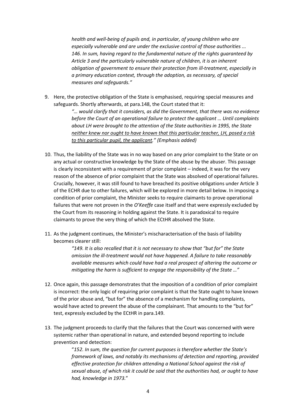*health and well-being of pupils and, in particular, of young children who are especially vulnerable and are under the exclusive control of those authorities ... 146. In sum, having regard to the fundamental nature of the rights guaranteed by Article 3 and the particularly vulnerable nature of children, it is an inherent obligation of government to ensure their protection from ill-treatment, especially in a primary education context, through the adoption, as necessary, of special measures and safeguards."* 

9. Here, the protective obligation of the State is emphasised, requiring special measures and safeguards. Shortly afterwards, at para.148, the Court stated that it:

> *"… would clarify that it considers, as did the Government, that there was no evidence before the Court of an operational failure to protect the applicant … Until complaints about LH were brought to the attention of the State authorities in 1995, the State neither knew nor ought to have known that this particular teacher, LH, posed a risk to this particular pupil, the applicant." (Emphasis added)*

- 10. Thus, the liability of the State was in no way based on any prior complaint to the State or on any actual or constructive knowledge by the State of the abuse by the abuser. This passage is clearly inconsistent with a requirement of prior complaint – indeed, it was for the very reason of the absence of prior complaint that the State was absolved of operational failures. Crucially, however, it was still found to have breached its positive obligations under Article 3 of the ECHR due to other failures, which will be explored in more detail below. In imposing a condition of prior complaint, the Minister seeks to require claimants to prove operational failures that were not proven in the *O'Keeffe* case itself and that were expressly excluded by the Court from its reasoning in holding against the State. It is paradoxical to require claimants to prove the very thing of which the ECtHR absolved the State.
- 11. As the judgment continues, the Minister's mischaracterisation of the basis of liability becomes clearer still:

*"149. It is also recalled that it is not necessary to show that "but for" the State omission the ill-treatment would not have happened. A failure to take reasonably available measures which could have had a real prospect of altering the outcome or mitigating the harm is sufficient to engage the responsibility of the State …"* 

- 12. Once again, this passage demonstrates that the imposition of a condition of prior complaint is incorrect: the only logic of requiring prior complaint is that the State ought to have known of the prior abuse and, "but for" the absence of a mechanism for handling complaints, would have acted to prevent the abuse of the complainant. That amounts to the "but for" test, expressly excluded by the ECtHR in para.149.
- 13. The judgment proceeds to clarify that the failures that the Court was concerned with were systemic rather than operational in nature, and extended beyond reporting to include prevention and detection:

"*152. In sum, the question for current purposes is therefore whether the State's framework of laws, and notably its mechanisms of detection and reporting, provided effective protection for children attending a National School against the risk of sexual abuse, of which risk it could be said that the authorities had, or ought to have had, knowledge in 1973.*"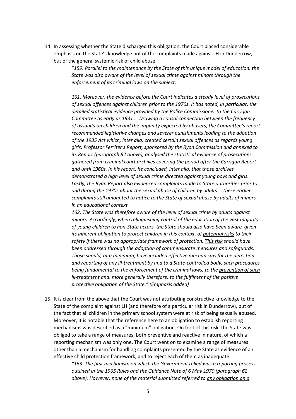14. In assessing whether the State discharged this obligation, the Court placed considerable emphasis on the State's knowledge not of the complaints made against LH in Dunderrow, but of the general systemic risk of child abuse:

*…* 

"*159. Parallel to the maintenance by the State of this unique model of education, the State was also aware of the level of sexual crime against minors through the enforcement of its criminal laws on the subject.* 

*161. Moreover, the evidence before the Court indicates a steady level of prosecutions of sexual offences against children prior to the 1970s. It has noted, in particular, the detailed statistical evidence provided by the Police Commissioner to the Carrigan Committee as early as 1931 … Drawing a causal connection between the frequency of assaults on children and the impunity expected by abusers, the Committee's report recommended legislative changes and severer punishments leading to the adoption of the 1935 Act which, inter alia, created certain sexual offences as regards young girls. Professor Ferriter's Report, sponsored by the Ryan Commission and annexed to its Report (paragraph 82 above), analysed the statistical evidence of prosecutions gathered from criminal court archives covering the period after the Carrigan Report and until 1960s. In his report, he concluded, inter alia, that those archives demonstrated a high level of sexual crime directed against young boys and girls. Lastly, the Ryan Report also evidenced complaints made to State authorities prior to and during the 1970s about the sexual abuse of children by adults … these earlier complaints still amounted to notice to the State of sexual abuse by adults of minors in an educational context.* 

*162. The State was therefore aware of the level of sexual crime by adults against minors. Accordingly, when relinquishing control of the education of the vast majority of young children to non-State actors, the State should also have been aware, given its inherent obligation to protect children in this context, of potential risks to their safety if there was no appropriate framework of protection. This risk should have been addressed through the adoption of commensurate measures and safeguards. Those should, at a minimum, have included effective mechanisms for the detection and reporting of any ill-treatment by and to a State-controlled body, such procedures being fundamental to the enforcement of the criminal laws, to the prevention of such ill-treatment and, more generally therefore, to the fulfilment of the positive protective obligation of the State." (Emphasis added)* 

15. It is clear from the above that the Court was not attributing constructive knowledge to the State of the complaint against LH (and therefore of a particular risk in Dunderrow), but of the fact that all children in the primary school system were at risk of being sexually abused. Moreover, it is notable that the reference here to an obligation to establish reporting mechanisms was described as a "minimum" obligation. On foot of this risk, the State was obliged to take a range of measures, both preventive and reactive in nature, of which a reporting mechanism was only one. The Court went on to examine a range of measures other than a mechanism for handling complaints presented by the State as evidence of an effective child protection framework, and to reject each of them as inadequate:

> *"163. The first mechanism on which the Government relied was a reporting process outlined in the 1965 Rules and the Guidance Note of 6 May 1970 (paragraph 62 above). However, none of the material submitted referred to any obligation on a*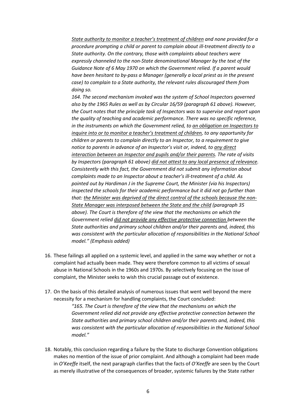*State authority to monitor a teacher's treatment of children and none provided for a procedure prompting a child or parent to complain about ill-treatment directly to a State authority. On the contrary, those with complaints about teachers were expressly channeled to the non-State denominational Manager by the text of the Guidance Note of 6 May 1970 on which the Government relied. If a parent would have been hesitant to by-pass a Manager (generally a local priest as in the present case) to complain to a State authority, the relevant rules discouraged them from doing so.* 

*164. The second mechanism invoked was the system of School Inspectors governed also by the 1965 Rules as well as by Circular 16/59 (paragraph 61 above). However, the Court notes that the principle task of Inspectors was to supervise and report upon the quality of teaching and academic performance. There was no specific reference, in the instruments on which the Government relied, to an obligation on Inspectors to inquire into or to monitor a teacher's treatment of children, to any opportunity for children or parents to complain directly to an Inspector, to a requirement to give notice to parents in advance of an Inspector's visit or, indeed, to any direct interaction between an Inspector and pupils and/or their parents. The rate of visits by Inspectors (paragraph 61 above) did not attest to any local presence of relevance. Consistently with this fact, the Government did not submit any information about complaints made to an Inspector about a teacher's ill-treatment of a child. As pointed out by Hardiman J in the Supreme Court, the Minister (via his Inspectors) inspected the schools for their academic performance but it did not go further than that: the Minister was deprived of the direct control of the schools because the non-State Manager was interposed between the State and the child (paragraph 35 above). The Court is therefore of the view that the mechanisms on which the Government relied did not provide any effective protective connection between the State authorities and primary school children and/or their parents and, indeed, this was consistent with the particular allocation of responsibilities in the National School model." (Emphasis added)* 

- 16. These failings all applied on a systemic level, and applied in the same way whether or not a complaint had actually been made. They were therefore common to all victims of sexual abuse in National Schools in the 1960s and 1970s. By selectively focusing on the issue of complaint, the Minister seeks to wish this crucial passage out of existence.
- 17. On the basis of this detailed analysis of numerous issues that went well beyond the mere necessity for a mechanism for handling complaints, the Court concluded:

*"165. The Court is therefore of the view that the mechanisms on which the Government relied did not provide any effective protective connection between the State authorities and primary school children and/or their parents and, indeed, this was consistent with the particular allocation of responsibilities in the National School model."* 

18. Notably, this conclusion regarding a failure by the State to discharge Convention obligations makes no mention of the issue of prior complaint. And although a complaint had been made in *O'Keeffe* itself, the next paragraph clarifies that the facts of *O'Keeffe* are seen by the Court as merely illustrative of the consequences of broader, systemic failures by the State rather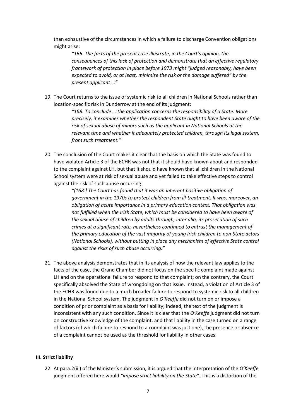than exhaustive of the circumstances in which a failure to discharge Convention obligations might arise:

*"166. The facts of the present case illustrate, in the Court's opinion, the consequences of this lack of protection and demonstrate that an effective regulatory framework of protection in place before 1973 might "judged reasonably, have been expected to avoid, or at least, minimise the risk or the damage suffered" by the present applicant …"* 

19. The Court returns to the issue of systemic risk to all children in National Schools rather than location-specific risk in Dunderrow at the end of its judgment:

> *"168. To conclude … the application concerns the responsibility of a State. More precisely, it examines whether the respondent State ought to have been aware of the risk of sexual abuse of minors such as the applicant in National Schools at the relevant time and whether it adequately protected children, through its legal system, from such treatment."*

20. The conclusion of the Court makes it clear that the basis on which the State was found to have violated Article 3 of the ECHR was not that it should have known about and responded to the complaint against LH, but that it should have known that all children in the National School system were at risk of sexual abuse and yet failed to take effective steps to control against the risk of such abuse occurring:

> *"[168.] The Court has found that it was an inherent positive obligation of government in the 1970s to protect children from ill-treatment. It was, moreover, an obligation of acute importance in a primary education context. That obligation was not fulfilled when the Irish State, which must be considered to have been aware of the sexual abuse of children by adults through, inter alia, its prosecution of such crimes at a significant rate, nevertheless continued to entrust the management of the primary education of the vast majority of young Irish children to non-State actors (National Schools), without putting in place any mechanism of effective State control against the risks of such abuse occurring."*

21. The above analysis demonstrates that in its analysis of how the relevant law applies to the facts of the case, the Grand Chamber did not focus on the specific complaint made against LH and on the operational failure to respond to that complaint; on the contrary, the Court specifically absolved the State of wrongdoing on that issue. Instead, a violation of Article 3 of the ECHR was found due to a much broader failure to respond to systemic risk to all children in the National School system. The judgment in *O'Keeffe* did not turn on or impose a condition of prior complaint as a basis for liability; indeed, the text of the judgment is inconsistent with any such condition. Since it is clear that the *O'Keeffe* judgment did not turn on constructive knowledge of the complaint, and that liability in the case turned on a range of factors (of which failure to respond to a complaint was just one), the presence or absence of a complaint cannot be used as the threshold for liability in other cases.

#### **III. Strict liability**

22. At para.2(iii) of the Minister's submission, it is argued that the interpretation of the *O'Keeffe* judgment offered here would *"impose strict liability on the State"*. This is a distortion of the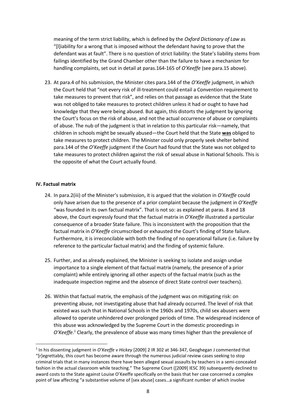meaning of the term strict liability, which is defined by the *Oxford Dictionary of Law* as "[l]iability for a wrong that is imposed without the defendant having to prove that the defendant was at fault". There is no question of strict liability: the State's liability stems from failings identified by the Grand Chamber other than the failure to have a mechanism for handling complaints, set out in detail at paras.164-165 of *O'Keeffe* (see para.15 above).

23. At para.4 of his submission, the Minister cites para.144 of the *O'Keeffe* judgment, in which the Court held that "not every risk of ill-treatment could entail a Convention requirement to take measures to prevent that risk", and relies on that passage as evidence that the State was not obliged to take measures to protect children unless it had or ought to have had knowledge that they were being abused. But again, this distorts the judgment by ignoring the Court's focus on the risk of abuse, and not the actual occurrence of abuse or complaints of abuse. The nub of the judgment is that in relation to this particular risk—namely, that children in schools might be sexually abused—the Court held that the State **was** obliged to take measures to protect children. The Minister could only properly seek shelter behind para.144 of the *O'Keeffe* judgment if the Court had found that the State was not obliged to take measures to protect children against the risk of sexual abuse in National Schools. This is the opposite of what the Court actually found.

#### **IV. Factual matrix**

- 24. In para.2(iii) of the Minister's submission, it is argued that the violation in *O'Keeffe* could only have arisen due to the presence of a prior complaint because the judgment in *O'Keeffe* "was founded in its own factual matrix". That is not so: as explained at paras. 8 and 18 above, the Court expressly found that the factual matrix in *O'Keeffe* illustrated a particular consequence of a broader State failure. This is inconsistent with the proposition that the factual matrix in *O'Keeffe* circumscribed or exhausted the Court's finding of State failure. Furthermore, it is irreconcilable with both the finding of no operational failure (i.e. failure by reference to the particular factual matrix) and the finding of systemic failure.
- 25. Further, and as already explained, the Minister is seeking to isolate and assign undue importance to a single element of that factual matrix (namely, the presence of a prior complaint) while entirely ignoring all other aspects of the factual matrix (such as the inadequate inspection regime and the absence of direct State control over teachers).
- 26. Within that factual matrix, the emphasis of the judgment was on mitigating risk: on preventing abuse, not investigating abuse that had already occurred. The level of risk that existed was such that in National Schools in the 1960s and 1970s, child sex abusers were allowed to operate unhindered over prolonged periods of time. The widespread incidence of this abuse was acknowledged by the Supreme Court in the domestic proceedings in O'Keeffe.<sup>1</sup> Clearly, the prevalence of abuse was many times higher than the prevalence of

<sup>1</sup> In his dissenting judgment in *O'Keeffe v Hickey* [2009] 2 IR 302 at 346-347, Geoghegan J commented that "[r]egrettably, this court has become aware through the numerous judicial review cases seeking to stop criminal trials that in many instances there have been alleged sexual assaults by teachers in a semi-concealed fashion in the actual classroom while teaching." The Supreme Court ([2009] IESC 39) subsequently declined to award costs to the State against Louise O'Keeffe specifically on the basis that her case concerned a complex point of law affecting "a substantive volume of [sex abuse] cases…a significant number of which involve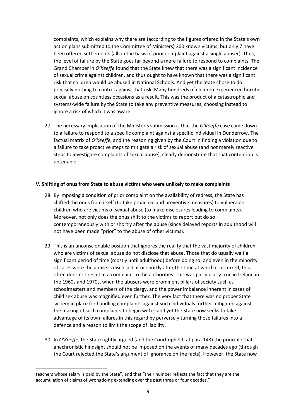complaints, which explains why there are (according to the figures offered in the State's own action plans submitted to the Committee of Ministers) 360 known victims, but only 7 have been offered settlements (all on the basis of prior complaint against a single abuser). Thus, the level of failure by the State goes far beyond a mere failure to respond to complaints. The Grand Chamber in *O'Keeffe* found that the State knew that there was a significant incidence of sexual crime against children, and thus ought to have known that there was a significant risk that children would be abused in National Schools. And yet the State chose to do precisely nothing to control against that risk. Many hundreds of children experienced horrific sexual abuse on countless occasions as a result. This was the product of a catastrophic and systems-wide failure by the State to take any preventive measures, choosing instead to ignore a risk of which it was aware.

27. The necessary implication of the Minister's submission is that the *O'Keeffe* case came down to a failure to respond to a specific complaint against a specific individual in Dunderrow. The factual matrix of *O'Keeffe*, and the reasoning given by the Court in finding a violation due to a failure to take proactive steps to mitigate a risk of sexual abuse (and not merely reactive steps to investigate complaints of sexual abuse), clearly demonstrate that that contention is untenable.

### **V. Shifting of onus from State to abuse victims who were unlikely to make complaints**

- 28. By imposing a condition of prior complaint on the availability of redress, the State has shifted the onus from itself (to take proactive and preventive measures) to vulnerable children who are victims of sexual abuse (to make disclosures leading to complaints). Moreover, not only does the onus shift to the victims to report but do so contemporaneously with or shortly after the abuse (since delayed reports in adulthood will not have been made "prior" to the abuse of other victims).
- 29. This is an unconscionable position that ignores the reality that the vast majority of children who are victims of sexual abuse do not disclose that abuse. Those that do usually wait a significant period of time (mostly until adulthood) before doing so; and even in the minority of cases were the abuse is disclosed at or shortly after the time at which it occurred, this often does not result in a complaint to the authorities. This was particularly true in Ireland in the 1960s and 1970s, when the abusers were prominent pillars of society such as schoolmasters and members of the clergy, and the power imbalance inherent in cases of child sex abuse was magnified even further. The very fact that there was no proper State system in place for handling complaints against such individuals further mitigated against the making of such complaints to begin with—and yet the State now seeks to take advantage of its own failures in this regard by perversely turning those failures into a defence and a reason to limit the scope of liability.
- 30. In *O'Keeffe*, the State rightly argued (and the Court upheld, at para.143) the principle that anachronistic hindsight should not be imposed on the events of many decades ago (through the Court rejected the State's argument of ignorance on the facts). However, the State now

teachers whose salary is paid by the State", and that "their number reflects the fact that they are the accumulation of claims of wrongdoing extending over the past three or four decades."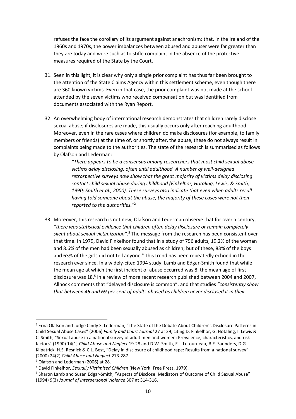refuses the face the corollary of its argument against anachronism: that, in the Ireland of the 1960s and 1970s, the power imbalances between abused and abuser were far greater than they are today and were such as to stifle complaint in the absence of the protective measures required of the State by the Court.

- 31. Seen in this light, it is clear why only a single prior complaint has thus far been brought to the attention of the State Claims Agency within this settlement scheme, even though there are 360 known victims. Even in that case, the prior complaint was not made at the school attended by the seven victims who received compensation but was identified from documents associated with the Ryan Report.
- 32. An overwhelming body of international research demonstrates that children rarely disclose sexual abuse; if disclosures are made, this usually occurs only after reaching adulthood. Moreover, even in the rare cases where children do make disclosures (for example, to family members or friends) at the time of, or shortly after, the abuse, these do not always result in complaints being made to the authorities. The state of the research is summarised as follows by Olafson and Lederman:

*"There appears to be a consensus among researchers that most child sexual abuse victims delay disclosing, often until adulthood. A number of well-designed retrospective surveys now show that the great majority of victims delay disclosing contact child sexual abuse during childhood (Finkelhor, Hotaling, Lewis, & Smith, 1990; Smith et al., 2000). These surveys also indicate that even when adults recall having told someone about the abuse, the majority of these cases were not then reported to the authorities."*<sup>2</sup>

33. Moreover, this research is not new; Olafson and Lederman observe that for over a century, *"there was statistical evidence that children often delay disclosure or remain completely*  silent about sexual victimization<sup>"</sup>.<sup>3</sup> The message from the research has been consistent over that time. In 1979, David Finkelhor found that in a study of 796 adults, 19.2% of the woman and 8.6% of the men had been sexually abused as children; but of these, 83% of the boys and 63% of the girls did not tell anyone.<sup>4</sup> This trend has been repeatedly echoed in the research ever since. In a widely-cited 1994 study, Lamb and Edgar-Smith found that while the mean age at which the first incident of abuse occurred was 8, the mean age of first disclosure was 18.<sup>5</sup> In a review of more recent research published between 2004 and 2007, Allnock comments that "delayed disclosure is common", and that studies *"consistently show that between 46 and 69 per cent of adults abused as children never disclosed it in their* 

<sup>&</sup>lt;sup>2</sup> Erna Olafson and Judge Cindy S. Lederman, "The State of the Debate About Children's Disclosure Patterns in Child Sexual Abuse Cases" (2006) *Family and Court Journal* 27 at 29, citing D. Finkelhor, G. Hotaling, I. Lewis & C. Smith, "Sexual abuse in a national survey of adult men and women: Prevalence, characteristics, and risk factors" (1990) 14(1) *Child Abuse and Neglect* 19-28 and D.W. Smith, E.J. Letourneau, B.E. Saunders, D.G. Kilpatrick, H.S. Resnick & C.L. Best, "Delay in disclosure of childhood rape: Results from a national survey" (2000) 24(2) *Child Abuse and Neglect* 273-287.

<sup>3</sup> Olafson and Lederman (2006) at 28.

<sup>4</sup> David Finkelhor, *Sexually Victimised Children* (New York: Free Press, 1979).

<sup>&</sup>lt;sup>5</sup> Sharon Lamb and Susan Edgar-Smith, "Aspects of Disclose: Mediators of Outcome of Child Sexual Abuse" (1994) 9(3) *Journal of Interpersonal Violence* 307 at 314-316.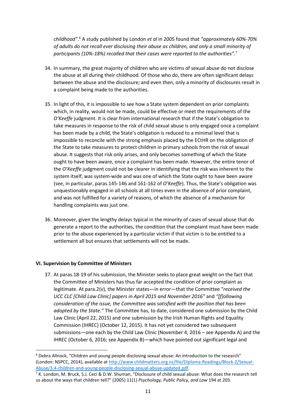*childhood"*. 6 A study published by London *et al* in 2005 found that *"approximately 60%-70% of adults do not recall ever disclosing their abuse as children, and only a small minority of participants (10%-18%) recalled that their cases were reported to the authorities"*. 7

- 34. In summary, the great majority of children who are victims of sexual abuse do not disclose the abuse at all during their childhood. Of those who do, there are often significant delays between the abuse and the disclosure; and even then, only a minority of disclosures result in a complaint being made to the authorities.
- 35. In light of this, it is impossible to see how a State system dependent on prior complaints which, in reality, would not be made, could be effective or meet the requirements of the *O'Keeffe* judgment. It is clear from international research that if the State's obligation to take measures in response to the risk of child sexual abuse is only engaged once a complaint has been made by a child, the State's obligation is reduced to a minimal level that is impossible to reconcile with the strong emphasis placed by the ECtHR on the obligation of the State to take measures to protect children in primary schools from the risk of sexual abuse. It suggests that risk only arises, and only becomes something of which the State ought to have been aware, once a complaint has been made. However, the entire tenor of the *O'Keeffe* judgment could not be clearer in identifying that the risk was inherent to the system itself, was system-wide and was one of which the State ought to have been aware (see, in particular, paras.145-146 and 161-162 of *O'Keeffe*). Thus, the State's obligation was unquestionably engaged in all schools at all times even in the absence of prior complaint, and was not fulfilled for a variety of reasons, of which the absence of a mechanism for handling complaints was just one.
- 36. Moreover, given the lengthy delays typical in the minority of cases of sexual abuse that do generate a report to the authorities, the condition that the complaint must have been made prior to the abuse experienced by a particular victim if that victim is to be entitled to a settlement all but ensures that settlements will not be made.

### **VI. Supervision by Committee of Ministers**

<u>.</u>

37. At paras.18-19 of his submission, the Minister seeks to place great weight on the fact that the Committee of Ministers has thus far accepted the condition of prior complaint as legitimate. At para.2(v), the Minister states—in error—that the Committee "*received the UCC CLC [Child Law Clinic] papers in April 2015 and November 2016"* and *"[f]ollowing consideration of the issue, the Committee was satisfied with the position that has been adopted by the State."* The Committee has, to date, considered one submission by the Child Law Clinic (April 22, 2015) and one submission by the Irish Human Rights and Equality Commission (IHREC) (October 12, 2015). It has not yet considered two subsequent submissions—one each by the Child Law Clinic (November 4, 2016 – see Appendix A) and the IHREC (October 6, 2016; see Appendix B)—which have pointed out significant legal and

<sup>&</sup>lt;sup>6</sup> Debra Allnock, "Children and young people disclosing sexual abuse: An introduction to the research" (London: NSPCC, 2014), available at http://www.childmatters.org.nz/file/Diploma-Readings/Block-2/Sexual-Abuse/3.4-children-and-young-people-disclosing-sexual-abuse-updated.pdf.

<sup>&</sup>lt;sup>7</sup> K. London, M. Bruck, S.J. Ceci & D.W. Shuman, "Disclosure of child sexual abuse: What does the research tell us about the ways that children tell?" (2005) 11(1) *Psychology, Public Policy, and Law* 194 at 203.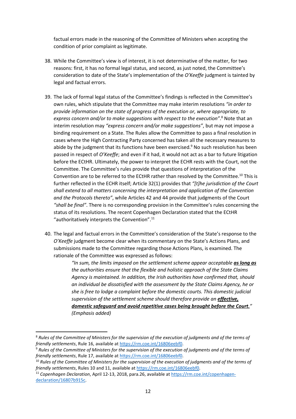factual errors made in the reasoning of the Committee of Ministers when accepting the condition of prior complaint as legitimate.

- 38. While the Committee's view is of interest, it is not determinative of the matter, for two reasons: first, it has no formal legal status, and second, as just noted, the Committee's consideration to date of the State's implementation of the *O'Keeffe* judgment is tainted by legal and factual errors.
- 39. The lack of formal legal status of the Committee's findings is reflected in the Committee's own rules, which stipulate that the Committee may make interim resolutions *"in order to provide information on the state of progress of the execution or, where appropriate, to*  express concern and/or to make suggestions with respect to the execution".<sup>8</sup> Note that an interim resolution may *"express concern and/or make suggestions"*, but may not impose a binding requirement on a State. The Rules allow the Committee to pass a final resolution in cases where the High Contracting Party concerned has taken all the necessary measures to abide by the judgment that its functions have been exercised.<sup>9</sup> No such resolution has been passed in respect of *O'Keeffe*; and even if it had, it would not act as a bar to future litigation before the ECtHR. Ultimately, the power to interpret the ECHR rests with the Court, not the Committee. The Committee's rules provide that questions of interpretation of the Convention are to be referred to the ECtHR rather than resolved by the Committee.<sup>10</sup> This is further reflected in the ECHR itself; Article 32(1) provides that *"[t]he jurisdiction of the Court shall extend to all matters concerning the interpretation and application of the Convention and the Protocols thereto"*, while Articles 42 and 44 provide that judgments of the Court *"shall be final"*. There is no corresponding provision in the Committee's rules concerning the status of its resolutions. The recent Copenhagen Declaration stated that the ECtHR "authoritatively interprets the Convention".<sup>11</sup>
- 40. The legal and factual errors in the Committee's consideration of the State's response to the *O'Keeffe* judgment become clear when its commentary on the State's Actions Plans, and submissions made to the Committee regarding those Actions Plans, is examined. The rationale of the Committee was expressed as follows:

*"In sum, the limits imposed on the settlement scheme appear acceptable as long as the authorities ensure that the flexible and holistic approach of the State Claims Agency is maintained. In addition, the Irish authorities have confirmed that, should an individual be dissatisfied with the assessment by the State Claims Agency, he or she is free to lodge a complaint before the domestic courts. This domestic judicial supervision of the settlement scheme should therefore provide an effective, domestic safeguard and avoid repetitive cases being brought before the Court." (Emphasis added)* 

<sup>8</sup> *Rules of the Committee of Ministers for the supervision of the execution of judgments and of the terms of friendly settlements*, Rule 16, available at https://rm.coe.int/16806eebf0.

<sup>9</sup> *Rules of the Committee of Ministers for the supervision of the execution of judgments and of the terms of friendly settlements*, Rule 17, available at https://rm.coe.int/16806eebf0.

<sup>&</sup>lt;sup>10</sup> Rules of the Committee of Ministers for the supervision of the execution of judgments and of the terms of *friendly settlements*, Rules 10 and 11, available at https://rm.coe.int/16806eebf0.

<sup>11</sup> *Copenhagen Declaration*, April 12-13, 2018, para.26, available at https://rm.coe.int/copenhagendeclaration/16807b915c.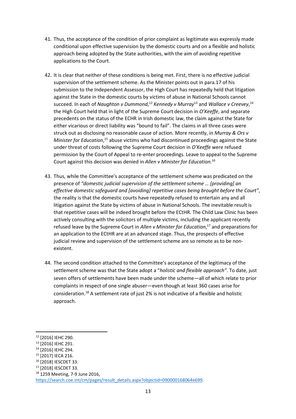- 41. Thus, the acceptance of the condition of prior complaint as legitimate was expressly made conditional upon effective supervision by the domestic courts and on a flexible and holistic approach being adopted by the State authorities, with the aim of avoiding repetitive applications to the Court.
- 42. It is clear that neither of these conditions is being met. First, there is no effective judicial supervision of the settlement scheme. As the Minister points out in para.17 of his submission to the Independent Assessor, the High Court has repeatedly held that litigation against the State in the domestic courts by victims of abuse in National Schools cannot succeed. In each of Naughton v Dummond,<sup>12</sup> Kennedy v Murray<sup>13</sup> and Wallace v Creevey,<sup>14</sup> the High Court held that in light of the Supreme Court decision in *O'Keeffe*, and separate precedents on the status of the ECHR in Irish domestic law, the claim against the State for either vicarious or direct liability was "bound to fail". The claims in all three cases were struck out as disclosing no reasonable cause of action. More recently, in *Murray & Ors v*  Minister for Education,<sup>15</sup> abuse victims who had discontinued proceedings against the State under threat of costs following the Supreme Court decision in *O'Keeffe* were refused permission by the Court of Appeal to re-enter proceedings. Leave to appeal to the Supreme Court against this decision was denied in *Allen v Minister for Education*. 16
- 43. Thus, while the Committee's acceptance of the settlement scheme was predicated on the presence of *"domestic judicial supervision of the settlement scheme … [providing] an effective domestic safeguard and [avoiding] repetitive cases being brought before the Court"*, the reality is that the domestic courts have repeatedly refused to entertain any and all litigation against the State by victims of abuse in National Schools. The inevitable result is that repetitive cases will be indeed brought before the ECtHR. The Child Law Clinic has been actively consulting with the solicitors of multiple victims, including the applicant recently refused leave by the Supreme Court in *Allen v Minister for Education*, <sup>17</sup> and preparations for an application to the ECtHR are at an advanced stage. Thus, the prospects of effective judicial review and supervision of the settlement scheme are so remote as to be nonexistent.
- 44. The second condition attached to the Committee's acceptance of the legitimacy of the settlement scheme was that the State adopt a "*holistic and flexible approach"*. To date, just seven offers of settlements have been made under the scheme—all of which relate to prior complaints in respect of one single abuser—even though at least 360 cases arise for consideration.<sup>18</sup> A settlement rate of just 2% is not indicative of a flexible and holistic approach.

-

<sup>18</sup> 1259 Meeting, 7-9 June 2016, https://search.coe.int/cm/pages/result\_details.aspx?objectid=090000168064e699.

<sup>12</sup> [2016] IEHC 290.

<sup>13</sup> [2016] IEHC 291.

<sup>14</sup> [2016] IEHC 294.

<sup>15</sup> [2017] IECA 216.

<sup>16</sup> [2018] IESCDET 33.

<sup>17</sup> [2018] IESCDET 33.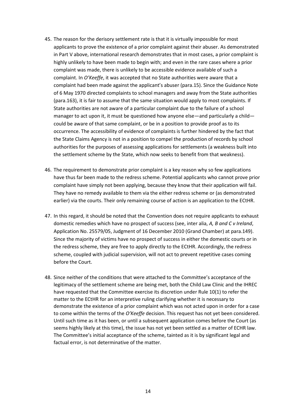- 45. The reason for the derisory settlement rate is that it is virtually impossible for most applicants to prove the existence of a prior complaint against their abuser. As demonstrated in Part V above, international research demonstrates that in most cases, a prior complaint is highly unlikely to have been made to begin with; and even in the rare cases where a prior complaint was made, there is unlikely to be accessible evidence available of such a complaint. In *O'Keeffe*, it was accepted that no State authorities were aware that a complaint had been made against the applicant's abuser (para.15). Since the Guidance Note of 6 May 1970 directed complaints to school managers and away from the State authorities (para.163), it is fair to assume that the same situation would apply to most complaints. If State authorities are not aware of a particular complaint due to the failure of a school manager to act upon it, it must be questioned how anyone else—and particularly a child could be aware of that same complaint, or be in a position to provide proof as to its occurrence. The accessibility of evidence of complaints is further hindered by the fact that the State Claims Agency is not in a position to compel the production of records by school authorities for the purposes of assessing applications for settlements (a weakness built into the settlement scheme by the State, which now seeks to benefit from that weakness).
- 46. The requirement to demonstrate prior complaint is a key reason why so few applications have thus far been made to the redress scheme. Potential applicants who cannot prove prior complaint have simply not been applying, because they know that their application will fail. They have no remedy available to them via the either redress scheme or (as demonstrated earlier) via the courts. Their only remaining course of action is an application to the ECtHR.
- 47. In this regard, it should be noted that the Convention does not require applicants to exhaust domestic remedies which have no prospect of success (see, inter alia, *A, B and C v Ireland*, Application No. 25579/05, Judgment of 16 December 2010 (Grand Chamber) at para.149). Since the majority of victims have no prospect of success in either the domestic courts or in the redress scheme, they are free to apply directly to the ECtHR. Accordingly, the redress scheme, coupled with judicial supervision, will not act to prevent repetitive cases coming before the Court.
- 48. Since neither of the conditions that were attached to the Committee's acceptance of the legitimacy of the settlement scheme are being met, both the Child Law Clinic and the IHREC have requested that the Committee exercise its discretion under Rule 10(1) to refer the matter to the ECtHR for an interpretive ruling clarifying whether it is necessary to demonstrate the existence of a prior complaint which was not acted upon in order for a case to come within the terms of the *O'Keeffe* decision. This request has not yet been considered. Until such time as it has been, or until a subsequent application comes before the Court (as seems highly likely at this time), the issue has not yet been settled as a matter of ECHR law. The Committee's initial acceptance of the scheme, tainted as it is by significant legal and factual error, is not determinative of the matter.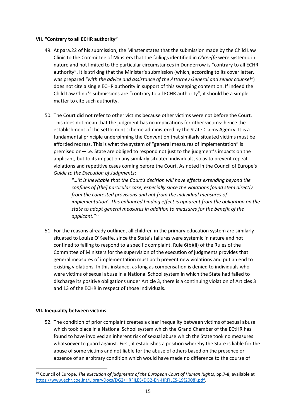## **VII. "Contrary to all ECHR authority"**

- 49. At para.22 of his submission, the Minster states that the submission made by the Child Law Clinic to the Committee of Minsters that the failings identified in *O'Keeffe* were systemic in nature and not limited to the particular circumstances in Dunderrow is "contrary to all ECHR authority". It is striking that the Minister's submission (which, according to its cover letter, was prepared *"with the advice and assistance of the Attorney General and senior counsel"*) does not cite a single ECHR authority in support of this sweeping contention. If indeed the Child Law Clinic's submissions are "contrary to all ECHR authority", it should be a simple matter to cite such authority.
- 50. The Court did not refer to other victims because other victims were not before the Court. This does not mean that the judgment has no implications for other victims: hence the establishment of the settlement scheme administered by the State Claims Agency. It is a fundamental principle underpinning the Convention that similarly situated victims must be afforded redress. This is what the system of "general measures of implementation" is premised on—i.e. State are obliged to respond not just to the judgment's impacts on the applicant, but to its impact on any similarly situated individuals, so as to prevent repeat violations and repetitive cases coming before the Court. As noted in the Council of Europe's *Guide to the Execution of Judgments*:

*"…'it is inevitable that the Court's decision will have effects extending beyond the confines of [the] particular case, especially since the violations found stem directly from the contested provisions and not from the individual measures of implementation'. This enhanced binding effect is apparent from the obligation on the state to adopt general measures in addition to measures for the benefit of the applicant."<sup>19</sup>*

51. For the reasons already outlined, all children in the primary education system are similarly situated to Louise O'Keeffe, since the State's failures were systemic in nature and not confined to failing to respond to a specific complaint. Rule 6(b)(ii) of the Rules of the Committee of Ministers for the supervision of the execution of judgments provides that general measures of implementation must both prevent new violations and put an end to existing violations. In this instance, as long as compensation is denied to individuals who were victims of sexual abuse in a National School system in which the State had failed to discharge its positive obligations under Article 3, there is a continuing violation of Articles 3 and 13 of the ECHR in respect of those individuals.

# **VII. Inequality between victims**

-

52. The condition of prior complaint creates a clear inequality between victims of sexual abuse which took place in a National School system which the Grand Chamber of the ECtHR has found to have involved an inherent risk of sexual abuse which the State took no measures whatsoever to guard against. First, it establishes a position whereby the State is liable for the abuse of some victims and not liable for the abuse of others based on the presence or absence of an arbitrary condition which would have made no difference to the course of

<sup>19</sup> Council of Europe, *The execution of judgments of the European Court of Human Rights*, pp.7-8, available at https://www.echr.coe.int/LibraryDocs/DG2/HRFILES/DG2-EN-HRFILES-19(2008).pdf.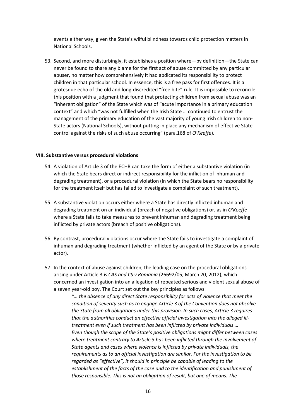events either way, given the State's wilful blindness towards child protection matters in National Schools.

53. Second, and more disturbingly, it establishes a position where—by definition—the State can never be found to share any blame for the first act of abuse committed by any particular abuser, no matter how comprehensively it had abdicated its responsibility to protect children in that particular school. In essence, this is a free pass for first offences. It is a grotesque echo of the old and long-discredited "free bite" rule. It is impossible to reconcile this position with a judgment that found that protecting children from sexual abuse was an "inherent obligation" of the State which was of "acute importance in a primary education context" and which "was not fulfilled when the Irish State … continued to entrust the management of the primary education of the vast majority of young Irish children to non-State actors (National Schools), without putting in place any mechanism of effective State control against the risks of such abuse occurring" (para.168 of *O'Keeffe*).

#### **VIII. Substantive versus procedural violations**

- 54. A violation of Article 3 of the ECHR can take the form of either a substantive violation (in which the State bears direct or indirect responsibility for the infliction of inhuman and degrading treatment), or a procedural violation (in which the State bears no responsibility for the treatment itself but has failed to investigate a complaint of such treatment).
- 55. A substantive violation occurs either where a State has directly inflicted inhuman and degrading treatment on an individual (breach of negative obligations) or, as in *O'Keeffe* where a State fails to take measures to prevent inhuman and degrading treatment being inflicted by private actors (breach of positive obligations).
- 56. By contrast, procedural violations occur where the State fails to investigate a complaint of inhuman and degrading treatment (whether inflicted by an agent of the State or by a private actor).
- 57. In the context of abuse against children, the leading case on the procedural obligations arising under Article 3 is *CAS and CS v Romania* (26692/05, March 20, 2012), which concerned an investigation into an allegation of repeated serious and violent sexual abuse of a seven year-old boy. The Court set out the key principles as follows:

*"… the absence of any direct State responsibility for acts of violence that meet the condition of severity such as to engage Article 3 of the Convention does not absolve the State from all obligations under this provision. In such cases, Article 3 requires that the authorities conduct an effective official investigation into the alleged illtreatment even if such treatment has been inflicted by private individuals … Even though the scope of the State's positive obligations might differ between cases where treatment contrary to Article 3 has been inflicted through the involvement of State agents and cases where violence is inflicted by private individuals, the requirements as to an official investigation are similar. For the investigation to be regarded as "effective", it should in principle be capable of leading to the establishment of the facts of the case and to the identification and punishment of those responsible. This is not an obligation of result, but one of means. The*